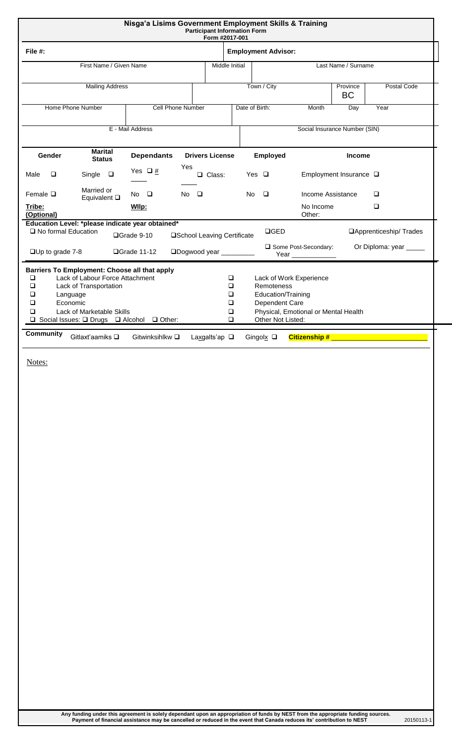| Nisga'a Lisims Government Employment Skills & Training<br><b>Participant Information Form</b><br>Form #2017-001                                                                                                                              |                                            |                                           |                                                                         |                                                                 |                        |                          |  |
|----------------------------------------------------------------------------------------------------------------------------------------------------------------------------------------------------------------------------------------------|--------------------------------------------|-------------------------------------------|-------------------------------------------------------------------------|-----------------------------------------------------------------|------------------------|--------------------------|--|
| File #:                                                                                                                                                                                                                                      |                                            | <b>Employment Advisor:</b>                |                                                                         |                                                                 |                        |                          |  |
| First Name / Given Name                                                                                                                                                                                                                      | Middle Initial                             | Last Name / Surname                       |                                                                         |                                                                 |                        |                          |  |
| <b>Mailing Address</b>                                                                                                                                                                                                                       |                                            |                                           | Town / City                                                             |                                                                 | Province<br><b>BC</b>  | Postal Code              |  |
| Home Phone Number                                                                                                                                                                                                                            | Cell Phone Number                          | Date of Birth:                            | Month                                                                   | Day                                                             | Year                   |                          |  |
| E - Mail Address<br>Social Insurance Number (SIN)                                                                                                                                                                                            |                                            |                                           |                                                                         |                                                                 |                        |                          |  |
| <b>Marital</b><br>Gender<br><b>Status</b>                                                                                                                                                                                                    | <b>Dependants</b>                          | <b>Drivers License</b>                    | Employed                                                                | <b>Income</b>                                                   |                        |                          |  |
| $\Box$<br>Single $\square$<br>Male                                                                                                                                                                                                           | Yes<br>Yes $\Box$ #                        | Q Class:                                  | Yes $\Box$                                                              | Employment Insurance $\square$                                  |                        |                          |  |
| Married or<br>Female $\square$<br>Equivalent $\square$                                                                                                                                                                                       | $No$ $\Box$<br>$No$ $\Box$                 |                                           | $\Box$<br>Income Assistance<br>$\Box$<br>No.                            |                                                                 |                        |                          |  |
| Tribe:<br>(Optional)                                                                                                                                                                                                                         | Wllp:                                      |                                           |                                                                         | No Income<br>Other:                                             |                        | $\Box$                   |  |
| Education Level: *please indicate year obtained*<br>□ No formal Education                                                                                                                                                                    | □Grade 9-10<br>□School Leaving Certificate |                                           | $\Box$ GED                                                              |                                                                 |                        | □ Apprenticeship/ Trades |  |
| Some Post-Secondary:<br>$\square$ Up to grade 7-8<br>□Dogwood year _________<br>□Grade 11-12                                                                                                                                                 |                                            |                                           |                                                                         |                                                                 | Or Diploma: year _____ |                          |  |
| Barriers To Employment: Choose all that apply<br>Lack of Labour Force Attachment<br>$\Box$<br>□<br>Lack of Transportation<br>❏<br>Language<br>Economic<br>◻<br>Lack of Marketable Skills<br>◻<br>□ Social Issues: □ Drugs □ Alcohol □ Other: |                                            | $\Box$<br>$\Box$<br>❏<br>□<br>❏<br>$\Box$ | Remoteness<br>Education/Training<br>Dependent Care<br>Other Not Listed: | Lack of Work Experience<br>Physical, Emotional or Mental Health |                        |                          |  |
| <b>Community</b><br>Gitlaxt'aamiks Q                                                                                                                                                                                                         | Gitwinksihlkw $\square$                    | Laxgalts'ap $\square$                     | Gingolx $\square$                                                       | <b>Citizenship # __________________________</b>                 |                        |                          |  |

Notes: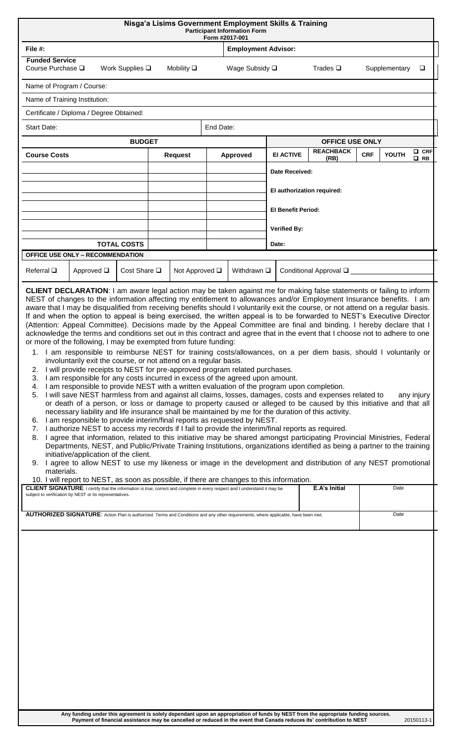| Nisga'a Lisims Government Employment Skills & Training<br><b>Participant Information Form</b><br>Form #2017-001                                                                                                                                                                                                                                                                                                                                                                                                                                                                                                                                                                                                                                                                                                                                                                                                                                                                                                                                                                                                                                                                                                                                                                                                                                                                                                                                                                                                                                                                                                                                                                                                                                                                                                                                                                                                                                                                                                                                                                                                                                                                                                                                                                 |                                       |                    |                |           |                     |                                                             |               |                                                                                                                             |       |              |  |
|---------------------------------------------------------------------------------------------------------------------------------------------------------------------------------------------------------------------------------------------------------------------------------------------------------------------------------------------------------------------------------------------------------------------------------------------------------------------------------------------------------------------------------------------------------------------------------------------------------------------------------------------------------------------------------------------------------------------------------------------------------------------------------------------------------------------------------------------------------------------------------------------------------------------------------------------------------------------------------------------------------------------------------------------------------------------------------------------------------------------------------------------------------------------------------------------------------------------------------------------------------------------------------------------------------------------------------------------------------------------------------------------------------------------------------------------------------------------------------------------------------------------------------------------------------------------------------------------------------------------------------------------------------------------------------------------------------------------------------------------------------------------------------------------------------------------------------------------------------------------------------------------------------------------------------------------------------------------------------------------------------------------------------------------------------------------------------------------------------------------------------------------------------------------------------------------------------------------------------------------------------------------------------|---------------------------------------|--------------------|----------------|-----------|---------------------|-------------------------------------------------------------|---------------|-----------------------------------------------------------------------------------------------------------------------------|-------|--------------|--|
| File #:                                                                                                                                                                                                                                                                                                                                                                                                                                                                                                                                                                                                                                                                                                                                                                                                                                                                                                                                                                                                                                                                                                                                                                                                                                                                                                                                                                                                                                                                                                                                                                                                                                                                                                                                                                                                                                                                                                                                                                                                                                                                                                                                                                                                                                                                         | <b>Employment Advisor:</b>            |                    |                |           |                     |                                                             |               |                                                                                                                             |       |              |  |
| <b>Funded Service</b><br>Course Purchase □                                                                                                                                                                                                                                                                                                                                                                                                                                                                                                                                                                                                                                                                                                                                                                                                                                                                                                                                                                                                                                                                                                                                                                                                                                                                                                                                                                                                                                                                                                                                                                                                                                                                                                                                                                                                                                                                                                                                                                                                                                                                                                                                                                                                                                      | Work Supplies $\square$               | Mobility $\square$ |                |           | Wage Subsidy □      | Trades $\square$<br>Supplementary<br>$\Box$                 |               |                                                                                                                             |       |              |  |
| Name of Program / Course:                                                                                                                                                                                                                                                                                                                                                                                                                                                                                                                                                                                                                                                                                                                                                                                                                                                                                                                                                                                                                                                                                                                                                                                                                                                                                                                                                                                                                                                                                                                                                                                                                                                                                                                                                                                                                                                                                                                                                                                                                                                                                                                                                                                                                                                       |                                       |                    |                |           |                     |                                                             |               |                                                                                                                             |       |              |  |
| Name of Training Institution:                                                                                                                                                                                                                                                                                                                                                                                                                                                                                                                                                                                                                                                                                                                                                                                                                                                                                                                                                                                                                                                                                                                                                                                                                                                                                                                                                                                                                                                                                                                                                                                                                                                                                                                                                                                                                                                                                                                                                                                                                                                                                                                                                                                                                                                   |                                       |                    |                |           |                     |                                                             |               |                                                                                                                             |       |              |  |
| Certificate / Diploma / Degree Obtained:                                                                                                                                                                                                                                                                                                                                                                                                                                                                                                                                                                                                                                                                                                                                                                                                                                                                                                                                                                                                                                                                                                                                                                                                                                                                                                                                                                                                                                                                                                                                                                                                                                                                                                                                                                                                                                                                                                                                                                                                                                                                                                                                                                                                                                        |                                       |                    |                |           |                     |                                                             |               |                                                                                                                             |       |              |  |
| <b>Start Date:</b>                                                                                                                                                                                                                                                                                                                                                                                                                                                                                                                                                                                                                                                                                                                                                                                                                                                                                                                                                                                                                                                                                                                                                                                                                                                                                                                                                                                                                                                                                                                                                                                                                                                                                                                                                                                                                                                                                                                                                                                                                                                                                                                                                                                                                                                              |                                       |                    |                | End Date: |                     |                                                             |               |                                                                                                                             |       |              |  |
| <b>BUDGET</b>                                                                                                                                                                                                                                                                                                                                                                                                                                                                                                                                                                                                                                                                                                                                                                                                                                                                                                                                                                                                                                                                                                                                                                                                                                                                                                                                                                                                                                                                                                                                                                                                                                                                                                                                                                                                                                                                                                                                                                                                                                                                                                                                                                                                                                                                   |                                       |                    |                |           |                     | <b>OFFICE USE ONLY</b><br><b>REACHBACK</b><br>$\square$ CRF |               |                                                                                                                             |       |              |  |
|                                                                                                                                                                                                                                                                                                                                                                                                                                                                                                                                                                                                                                                                                                                                                                                                                                                                                                                                                                                                                                                                                                                                                                                                                                                                                                                                                                                                                                                                                                                                                                                                                                                                                                                                                                                                                                                                                                                                                                                                                                                                                                                                                                                                                                                                                 | <b>Course Costs</b><br><b>Request</b> |                    |                |           | Approved            | <b>EI ACTIVE</b>                                            | (RB)          | <b>CRF</b>                                                                                                                  | YOUTH | $\square$ RB |  |
|                                                                                                                                                                                                                                                                                                                                                                                                                                                                                                                                                                                                                                                                                                                                                                                                                                                                                                                                                                                                                                                                                                                                                                                                                                                                                                                                                                                                                                                                                                                                                                                                                                                                                                                                                                                                                                                                                                                                                                                                                                                                                                                                                                                                                                                                                 |                                       |                    |                |           |                     | Date Received:                                              |               |                                                                                                                             |       |              |  |
|                                                                                                                                                                                                                                                                                                                                                                                                                                                                                                                                                                                                                                                                                                                                                                                                                                                                                                                                                                                                                                                                                                                                                                                                                                                                                                                                                                                                                                                                                                                                                                                                                                                                                                                                                                                                                                                                                                                                                                                                                                                                                                                                                                                                                                                                                 |                                       |                    |                |           |                     | El authorization required:                                  |               |                                                                                                                             |       |              |  |
|                                                                                                                                                                                                                                                                                                                                                                                                                                                                                                                                                                                                                                                                                                                                                                                                                                                                                                                                                                                                                                                                                                                                                                                                                                                                                                                                                                                                                                                                                                                                                                                                                                                                                                                                                                                                                                                                                                                                                                                                                                                                                                                                                                                                                                                                                 |                                       |                    |                |           |                     | <b>El Benefit Period:</b>                                   |               |                                                                                                                             |       |              |  |
|                                                                                                                                                                                                                                                                                                                                                                                                                                                                                                                                                                                                                                                                                                                                                                                                                                                                                                                                                                                                                                                                                                                                                                                                                                                                                                                                                                                                                                                                                                                                                                                                                                                                                                                                                                                                                                                                                                                                                                                                                                                                                                                                                                                                                                                                                 |                                       |                    |                |           |                     | <b>Verified By:</b>                                         |               |                                                                                                                             |       |              |  |
|                                                                                                                                                                                                                                                                                                                                                                                                                                                                                                                                                                                                                                                                                                                                                                                                                                                                                                                                                                                                                                                                                                                                                                                                                                                                                                                                                                                                                                                                                                                                                                                                                                                                                                                                                                                                                                                                                                                                                                                                                                                                                                                                                                                                                                                                                 | <b>TOTAL COSTS</b>                    |                    |                |           |                     | Date:                                                       |               |                                                                                                                             |       |              |  |
| <b>OFFICE USE ONLY - RECOMMENDATION</b>                                                                                                                                                                                                                                                                                                                                                                                                                                                                                                                                                                                                                                                                                                                                                                                                                                                                                                                                                                                                                                                                                                                                                                                                                                                                                                                                                                                                                                                                                                                                                                                                                                                                                                                                                                                                                                                                                                                                                                                                                                                                                                                                                                                                                                         |                                       |                    |                |           |                     |                                                             |               |                                                                                                                             |       |              |  |
| Referral $\Box$<br>Approved <b>□</b>                                                                                                                                                                                                                                                                                                                                                                                                                                                                                                                                                                                                                                                                                                                                                                                                                                                                                                                                                                                                                                                                                                                                                                                                                                                                                                                                                                                                                                                                                                                                                                                                                                                                                                                                                                                                                                                                                                                                                                                                                                                                                                                                                                                                                                            | Cost Share $\square$                  |                    | Not Approved □ |           | Withdrawn $\square$ | Conditional Approval Q                                      |               |                                                                                                                             |       |              |  |
| NEST of changes to the information affecting my entitlement to allowances and/or Employment Insurance benefits. I am<br>aware that I may be disqualified from receiving benefits should I voluntarily exit the course, or not attend on a regular basis.<br>If and when the option to appeal is being exercised, the written appeal is to be forwarded to NEST's Executive Director<br>(Attention: Appeal Committee). Decisions made by the Appeal Committee are final and binding. I hereby declare that I<br>acknowledge the terms and conditions set out in this contract and agree that in the event that I choose not to adhere to one<br>or more of the following, I may be exempted from future funding:<br>1. I am responsible to reimburse NEST for training costs/allowances, on a per diem basis, should I voluntarily or<br>involuntarily exit the course, or not attend on a regular basis.<br>I will provide receipts to NEST for pre-approved program related purchases.<br>2.<br>I am responsible for any costs incurred in excess of the agreed upon amount.<br>3.<br>I am responsible to provide NEST with a written evaluation of the program upon completion.<br>4.<br>I will save NEST harmless from and against all claims, losses, damages, costs and expenses related to<br>5.<br>any injury<br>or death of a person, or loss or damage to property caused or alleged to be caused by this initiative and that all<br>necessary liability and life insurance shall be maintained by me for the duration of this activity.<br>I am responsible to provide interim/final reports as requested by NEST.<br>6.<br>7. I authorize NEST to access my records if I fail to provide the interim/final reports as required.<br>I agree that information, related to this initiative may be shared amongst participating Provincial Ministries, Federal<br>8.<br>Departments, NEST, and Public/Private Training Institutions, organizations identified as being a partner to the training<br>initiative/application of the client.<br>9. I agree to allow NEST to use my likeness or image in the development and distribution of any NEST promotional<br>materials.<br>10. I will report to NEST, as soon as possible, if there are changes to this information. |                                       |                    |                |           |                     |                                                             |               | <b>CLIENT DECLARATION:</b> I am aware legal action may be taken against me for making false statements or failing to inform |       |              |  |
| <b>CLIENT SIGNATURE:</b> I certify that the information is true, correct and complete in every respect and I understand it may be<br>subject to verification by NEST or its representatives.                                                                                                                                                                                                                                                                                                                                                                                                                                                                                                                                                                                                                                                                                                                                                                                                                                                                                                                                                                                                                                                                                                                                                                                                                                                                                                                                                                                                                                                                                                                                                                                                                                                                                                                                                                                                                                                                                                                                                                                                                                                                                    |                                       |                    |                |           |                     |                                                             | E.A's Initial |                                                                                                                             | Date  |              |  |
| AUTHORIZED SIGNATURE: Action Plan is authorized. Terms and Conditions and any other requirements, where applicable, have been met.                                                                                                                                                                                                                                                                                                                                                                                                                                                                                                                                                                                                                                                                                                                                                                                                                                                                                                                                                                                                                                                                                                                                                                                                                                                                                                                                                                                                                                                                                                                                                                                                                                                                                                                                                                                                                                                                                                                                                                                                                                                                                                                                              |                                       |                    |                |           |                     |                                                             |               |                                                                                                                             | Date  |              |  |
|                                                                                                                                                                                                                                                                                                                                                                                                                                                                                                                                                                                                                                                                                                                                                                                                                                                                                                                                                                                                                                                                                                                                                                                                                                                                                                                                                                                                                                                                                                                                                                                                                                                                                                                                                                                                                                                                                                                                                                                                                                                                                                                                                                                                                                                                                 |                                       |                    |                |           |                     |                                                             |               |                                                                                                                             |       |              |  |

**Any funding under this agreement is solely dependant upon an appropriation of funds by NEST from the appropriate funding sources. Payment of financial assistance may be cancelled or reduced in the event that Canada reduces its' contribution to NEST** 20150113-1